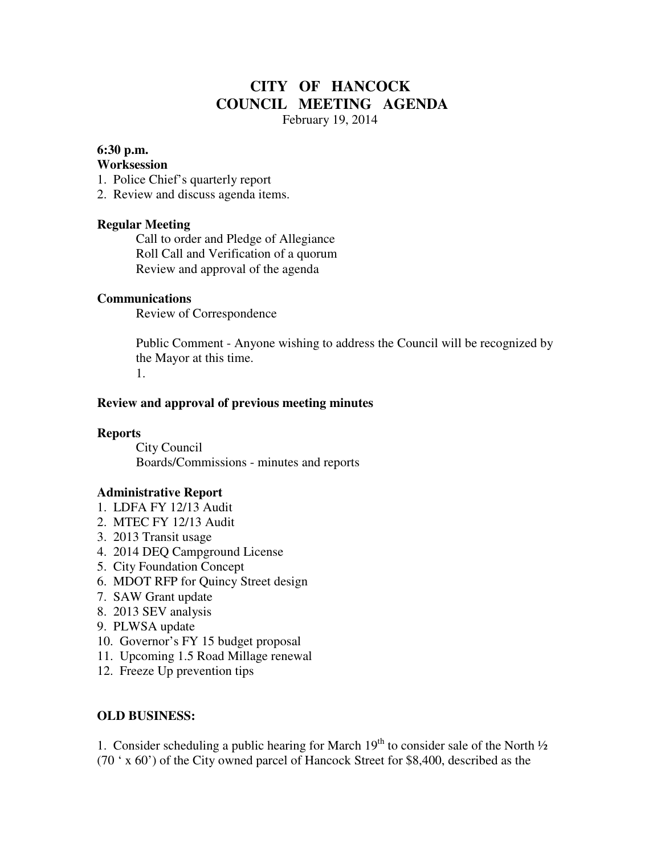# **CITY OF HANCOCK COUNCIL MEETING AGENDA**

February 19, 2014

### **6:30 p.m.**

#### **Worksession**

- 1. Police Chief's quarterly report
- 2. Review and discuss agenda items.

# **Regular Meeting**

 Call to order and Pledge of Allegiance Roll Call and Verification of a quorum Review and approval of the agenda

#### **Communications**

Review of Correspondence

 Public Comment - Anyone wishing to address the Council will be recognized by the Mayor at this time. 1.

#### **Review and approval of previous meeting minutes**

#### **Reports**

City Council Boards/Commissions - minutes and reports

# **Administrative Report**

- 1. LDFA FY 12/13 Audit
- 2. MTEC FY 12/13 Audit
- 3. 2013 Transit usage
- 4. 2014 DEQ Campground License
- 5. City Foundation Concept
- 6. MDOT RFP for Quincy Street design
- 7. SAW Grant update
- 8. 2013 SEV analysis
- 9. PLWSA update
- 10. Governor's FY 15 budget proposal
- 11. Upcoming 1.5 Road Millage renewal
- 12. Freeze Up prevention tips

# **OLD BUSINESS:**

1. Consider scheduling a public hearing for March  $19<sup>th</sup>$  to consider sale of the North  $\frac{1}{2}$ (70 ' x 60') of the City owned parcel of Hancock Street for \$8,400, described as the